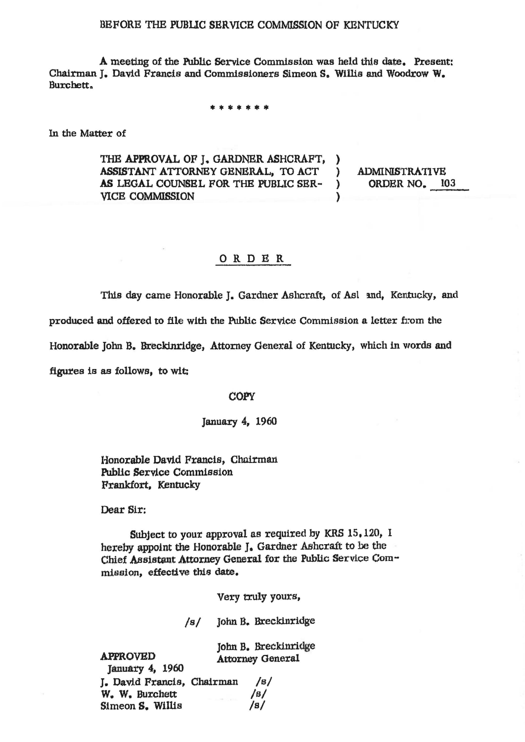## BEFORE THE PUBLIC SERVICE COMMISSION OF KENTUCKY

A meeting of the Public Service Commission was held this date. Present: Chairman J. David Francis and Commissioners Simeon S. Willis and Woodrow W. Burchett,

\* \* \* \* \* \* \*

In the Matter of

THE APPROVAL OF J. GARDNER ASHCRAFT, ASSISTANT ATTORNEY GENERAL, TO ACT AS LEGAL COUNSEL FOR THE PUBLIC SER-**VICE COMMISSION** 

**ADMINISTRATIVE** ORDER NO. 103

 $\lambda$ 

 $\lambda$ 

 $\lambda$ 

## ORDER

This day came Honorable J. Gardner Ashcraft, of Asl and, Kentucky, and

produced and offered to file with the Public Service Commission a letter from the

Honorable John B. Breckinridge, Attorney General of Kentucky, which in words and

figures is as follows, to wit;

## **COPY**

## January 4, 1960

Honorable David Francis, Chairman **Public Service Commission** Frankfort, Kentucky

Dear Sir:

**APPROVED** 

Subject to your approval as required by KRS 15,120, I hereby appoint the Honorable J. Gardner Ashcraft to be the Chief Assistant Attorney General for the Public Service Commission, effective this date.

Very truly yours,

John B. Breckinridge  $/s/$ 

John B. Breckinridge **Attorney General** 

**January 4, 1960** L. David Francis, Chairman  $\sqrt{B}$ W. W. Burchett  $\sqrt{g/2}$ Simeon S. Willis  $/s/$